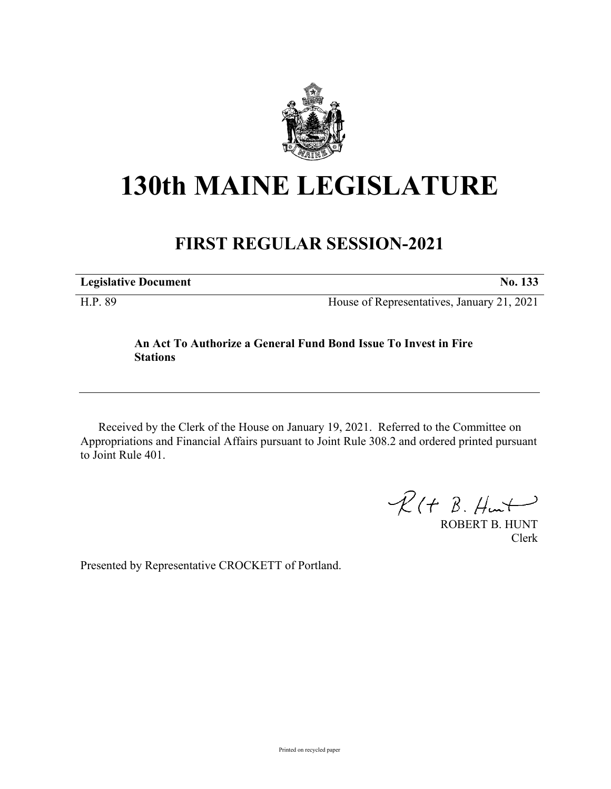

# **130th MAINE LEGISLATURE**

# **FIRST REGULAR SESSION-2021**

**Legislative Document No. 133**

H.P. 89 House of Representatives, January 21, 2021

## **An Act To Authorize a General Fund Bond Issue To Invest in Fire Stations**

Received by the Clerk of the House on January 19, 2021. Referred to the Committee on Appropriations and Financial Affairs pursuant to Joint Rule 308.2 and ordered printed pursuant to Joint Rule 401.

 $R(H B. H<sub>ur</sub>)$ 

ROBERT B. HUNT Clerk

Presented by Representative CROCKETT of Portland.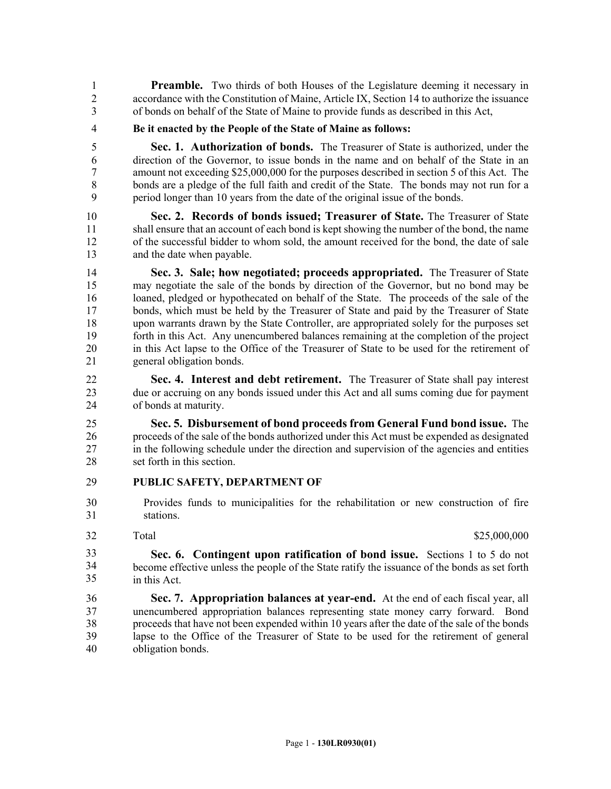**Preamble.** Two thirds of both Houses of the Legislature deeming it necessary in 2 accordance with the Constitution of Maine, Article IX, Section 14 to authorize the issuance 3 of bonds on behalf of the State of Maine to provide funds as described in this Act,

4 **Be it enacted by the People of the State of Maine as follows:**

5 **Sec. 1. Authorization of bonds.** The Treasurer of State is authorized, under the 6 direction of the Governor, to issue bonds in the name and on behalf of the State in an 7 amount not exceeding \$25,000,000 for the purposes described in section 5 of this Act. The 8 bonds are a pledge of the full faith and credit of the State. The bonds may not run for a 9 period longer than 10 years from the date of the original issue of the bonds.

10 **Sec. 2. Records of bonds issued; Treasurer of State.** The Treasurer of State 11 shall ensure that an account of each bond is kept showing the number of the bond, the name 12 of the successful bidder to whom sold, the amount received for the bond, the date of sale 13 and the date when payable.

14 **Sec. 3. Sale; how negotiated; proceeds appropriated.** The Treasurer of State 15 may negotiate the sale of the bonds by direction of the Governor, but no bond may be 16 loaned, pledged or hypothecated on behalf of the State. The proceeds of the sale of the 17 bonds, which must be held by the Treasurer of State and paid by the Treasurer of State 18 upon warrants drawn by the State Controller, are appropriated solely for the purposes set 19 forth in this Act. Any unencumbered balances remaining at the completion of the project 20 in this Act lapse to the Office of the Treasurer of State to be used for the retirement of 21 general obligation bonds.

22 **Sec. 4. Interest and debt retirement.** The Treasurer of State shall pay interest 23 due or accruing on any bonds issued under this Act and all sums coming due for payment 24 of bonds at maturity.

25 **Sec. 5. Disbursement of bond proceeds from General Fund bond issue.** The 26 proceeds of the sale of the bonds authorized under this Act must be expended as designated 27 in the following schedule under the direction and supervision of the agencies and entities 28 set forth in this section.

### 29 **PUBLIC SAFETY, DEPARTMENT OF**

- 30 Provides funds to municipalities for the rehabilitation or new construction of fire 31 stations.
- 32

Total \$25,000,000

32 **Sec. 6. Contingent upon ratification of bond issue.** Sections 1 to 5 do not 33 become effective unless the people of the State ratify the issuance of the bonds as set forth in this Act. 33 34 35

36 **Sec. 7. Appropriation balances at year-end.** At the end of each fiscal year, all 37 unencumbered appropriation balances representing state money carry forward. Bond 38 proceeds that have not been expended within 10 years after the date of the sale of the bonds 39 lapse to the Office of the Treasurer of State to be used for the retirement of general 40 obligation bonds.